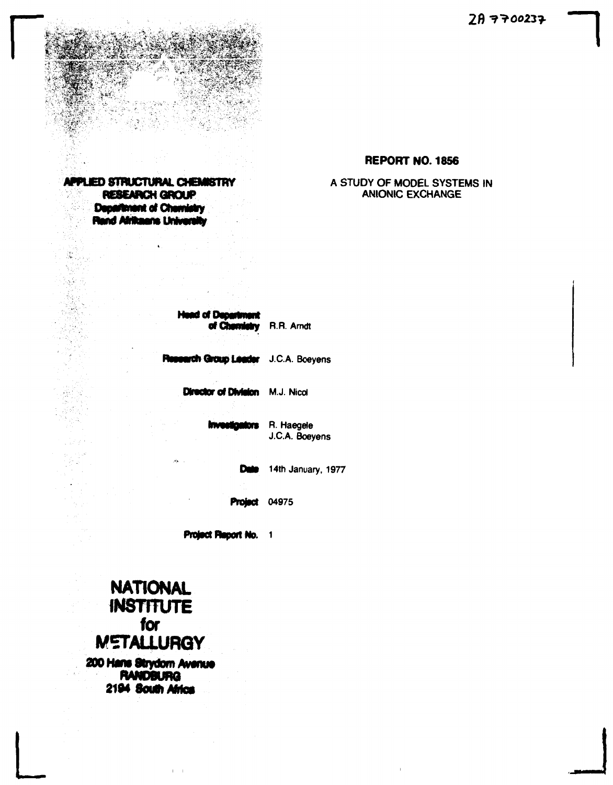$2A7700237$ 

# **REPORT NO. 1856**

# A STUDY OF MODEL SYSTEMS IN **ANIONIC EXCHANGE**

**Head of Departm** of Chem

R.R. Arndt

**Research Group Leader** J.C.A. Boeyens

**Director of Division M.J. Nicol** 

*investigators* 

R. Haegele J.C.A. Boeyens

14th January, 1977 **Date** 

**Project 04975** 

Project Report No. 1

**NATIONAL INSTITUTE** for **METALLURGY** 

 $\hat{H}_{\rm in}$ 

APPLIED STRUCTURAL CHEMISTRY

RESEARCH GROUP **Department of Chemistry Rend Africans University** 

 $\Delta$ 

Sang<br>Mang

W, 薬湯 - 알코)<br>- 257  $\frac{1}{\epsilon_0}$ 

> 200 Hans Strydom Avenue RANDBURG 2194 South Africa

> > $\mathbf{L}$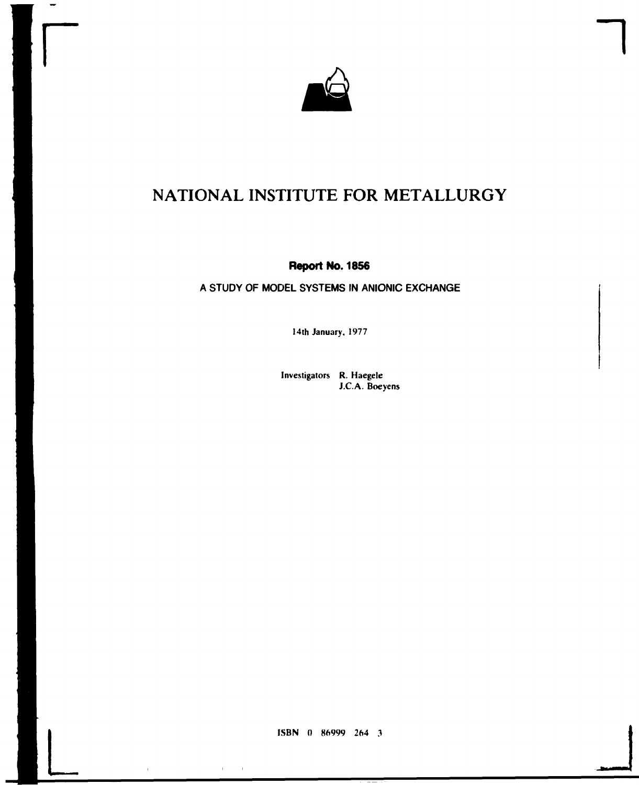

**1** 

# **NATIONAL INSTITUTE FOR METALLURGY**

**Report No. 1856** 

**A STUDY OF MODEL SYSTEMS IN ANIONIC EXCHANGE** 

**14th January, 1977** 

**Investigators R. Haegele J.C.A. Boeyens** 

**ISBN 0 86999 264 3**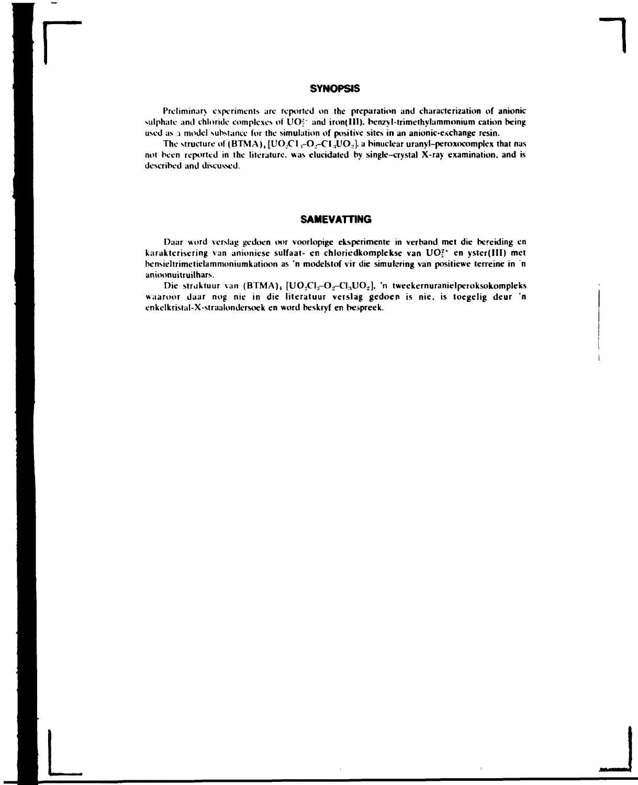#### **SYNOPSIS**

**Preliminary experiments are reported on the preparation and characterization of anionic**  sulphate and chloride complexes of UO<sub>2</sub><sup>+</sup> and iron(III), benzyl-trimethylammonium cation being **used as i model substance for the simulation of positive sites in an anionic-exchange resin.** 

The structure of  $(BTMA)$ ,  $[UD<sub>2</sub>C1<sub>3</sub>-O<sub>2</sub>-CL<sub>3</sub>UD<sub>2</sub>]$ . a binuclear uranyl-peroxocomplex that has **not been reported in the literature, was elucidated by single-crystal X-ray examination, and is described and discussed.** 

#### **SAMEVATT1NG**

**Daar word vcrslag gedoen oor voorlopige eksperimente in verband met die bereiding en**  karakterisering van anioniese sulfaat- en chloriedkomplekse van UO<sup>2+</sup> en yster(III) met bensieltrimetielammoniumkatioon as 'n modelstof vir die simulering van positiewe terreine in 'n **anioonuitruilhars.** 

Die struktuur van (BTMA), [UO<sub>2</sub>CI<sub>3</sub>-O<sub>2</sub>-CI<sub>3</sub>UO<sub>2</sub>], 'n tweekernuranielperoksokompleks **waaroor daar nog nie in die literatuur verslag gedoen is nie, is toegelig deur \*n enkelkristal-X-straalondersoek en word beskryf en bespreek.**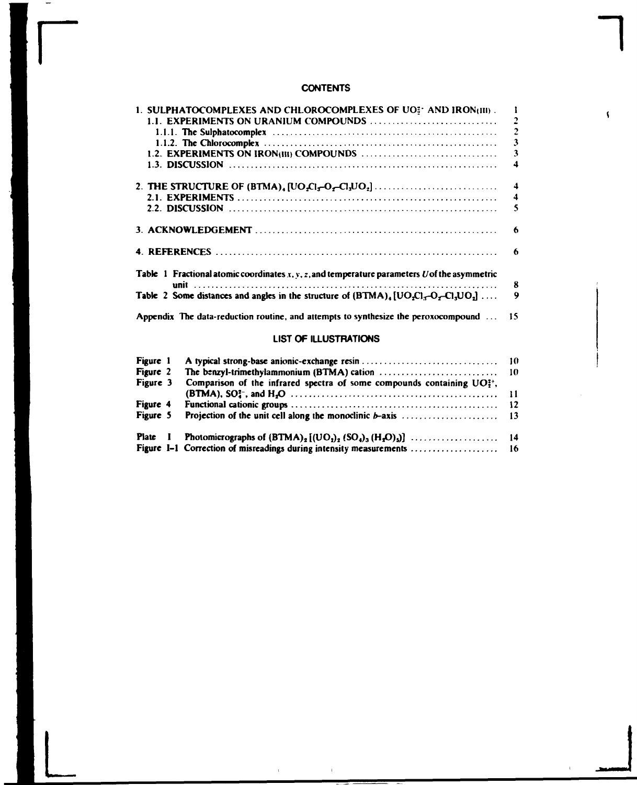# **CONTENTS**

 $\sqrt{2}$ 

 $\overline{\phantom{a}}$ 

| 1. SULPHATOCOMPLEXES AND CHLOROCOMPLEXES OF UO3: AND IRON(III).                                  |                         |
|--------------------------------------------------------------------------------------------------|-------------------------|
|                                                                                                  |                         |
|                                                                                                  |                         |
|                                                                                                  |                         |
|                                                                                                  | $\overline{\mathbf{3}}$ |
|                                                                                                  |                         |
|                                                                                                  | $\overline{4}$          |
|                                                                                                  | $\overline{\mathbf{4}}$ |
|                                                                                                  | 5                       |
|                                                                                                  |                         |
|                                                                                                  |                         |
| Table 1 Fractional atomic coordinates $x, y, z$ , and temperature parameters U of the asymmetric |                         |
|                                                                                                  | 8                       |
| Table 2 Some distances and angles in the structure of $(BTMA)_4[UQ_2Cl_3-O_4-Cl_3UO_2]$          | 9                       |
| Appendix The data-reduction routine, and attempts to synthesize the peroxocompound  15           |                         |

# **LIST OF ILLUSTRATIONS**

| Figure 1 |                                                                               |  |
|----------|-------------------------------------------------------------------------------|--|
| Figure 2 |                                                                               |  |
| Figure 3 | Comparison of the infrared spectra of some compounds containing $UO_2^{2+}$ , |  |
|          |                                                                               |  |
| Figure 4 |                                                                               |  |
| Figure 5 |                                                                               |  |
| Plate I  |                                                                               |  |
|          |                                                                               |  |

 $\mathbf{1}^{\mathbf{1}}$ 

 $\mathcal{A}^{\mathcal{A}}$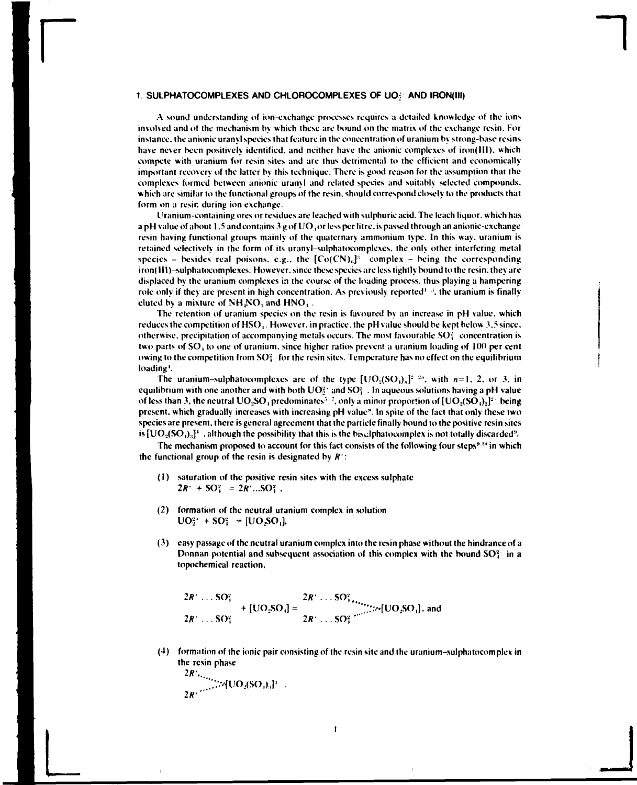#### **1. SULPHATOCOMPLEXES AND CHLOROCOMPLEXES OF UO<sup>2</sup> AND IRON(III)**

**A sound understanding of ion-exchange processes requires a detailed knowledge of the ions involved and of the mechanism by which these are bound on the matrix of the exchange resin. For instance, the anionic uranyl species that feature in the concentration of uranium by strong-base resins have never been positively identified, and neither have the anionic complexes of iron(III). which compete with uranium for resin sites and are thus detrimental to the efficient and economically important recovery of the latter by this technique. There is good reason for the assumption that the complexes formed between anionic uranyl and related species and suitably selected compounds, which are similar to the functional groups of the resin, should correspond closely to the products that form on a resir. during ion exchange.** 

**Uranium-containing ores or residues are leached with sulphuric acid. The leach liquor, which has**  a pH value of about 1.5 and contains 3 g of UO<sub>3</sub> or less per litre, is passed through an anionic-exchange **resin having functional groups mainly of the quaternary ammonium type. In this way. uranium is retained selectively in the form of its uranyl-sulphatocomplexes. the only other interfering metal**  species – besides real poisons, e.g., the  $[Co(CN)_6]^3$  complex – being the corresponding **iron( lll)-sulphatocomplexes. However, since these species are less tightly bound to the resin, they are displaced by the uranium complexes in the course of the loading process, thus playing a hampering**  role only if they are present in high concentration. As previously reported<sup>1</sup><sup>3</sup>, the uranium is finally **eluted by a mixture of NH,NO, and HNO, .** 

**The retention of uranium species on the resin is favoured by an increase in pH value, which reduces the competition of HSO,. However, in practice, the pH value should be kept below 3.5since, otherwise, precipitation of accompanying metals occurs. The most favourable SO-; concentration is two parts of SO, to one of uranium, since higher ratios prevent a uranium loading of 100 per cent**  owing to the competition from  $SO_4^+$  for the resin sites. Temperature has no effect on the equilibrium **loading<sup>1</sup> .** 

The uranium-sulphatocomplexes are of the type  $[UO<sub>0</sub>(SO<sub>0</sub>)<sub>n</sub>]^{2-2n}$ , with  $n=1, 2,$  or 3, in **equilibrium with one another and with both** *VOV* **and SO-; . In aqueous solutions having a pH value of less than 3, the neutral**  $\mathbf{UO}_2\mathbf{SO}_4$  **predominates<sup>5–7</sup>, only a minor proportion of**  $[\mathbf{UO}_2(\mathbf{SO}_4)_2]^2$  **being present, which gradually increases with increasing pH value". In spite of the fact that only these two species are present, there is general agreement that the particle finally bound to the positive resin sites**  is  $[UO_2(SO_i)]$ <sup>1</sup>, although the possibility that this is the biselphatocomplex is not totally discarded<sup>9</sup>.

**The mechanism proposed to account for this fact consists of the following four steps""' in which**  the functional group of the resin is designated by  $R^*$ :

- **(1) saturation of the positive resin sites with the excess sulphate**   $2R' + SO_1^2 = 2R'$  ...SO<sub>1</sub><sup>2</sup>.
- **(2) formation of the neutral uranium complex in solution**   $UO_2^2$ <sup>+</sup> + SO<sup>2</sup> = [UO<sub>2</sub>SO<sub>1</sub>],
- **(3) easy passage of the neutral uranium complex into the resin phase without the hindrance of a Donnan potential and subsequent association of this complex with the bound SO<sup>J</sup> , in a topochemical reaction.**

$$
\frac{2R^{3} \dots SO_{1}^{2}}{2R^{3} \dots SO_{1}^{2}} + [UO_{2}SO_{1}] = \frac{2R^{3} \dots SO_{1}^{2}}{2R^{3} \dots SO_{1}^{2}} \dots [UO_{2}SO_{1}],
$$
 and

**(4) formation of the ionic pair consisting of the resin site and the uranium-sulphatocomplex in the resin phase** 

*2R:.*   $\left[\left[\right]\right]^{n}$  {UO<sub>2</sub>(SO<sub>1</sub>)<sub>3</sub>}<sup>1</sup> . *2R"*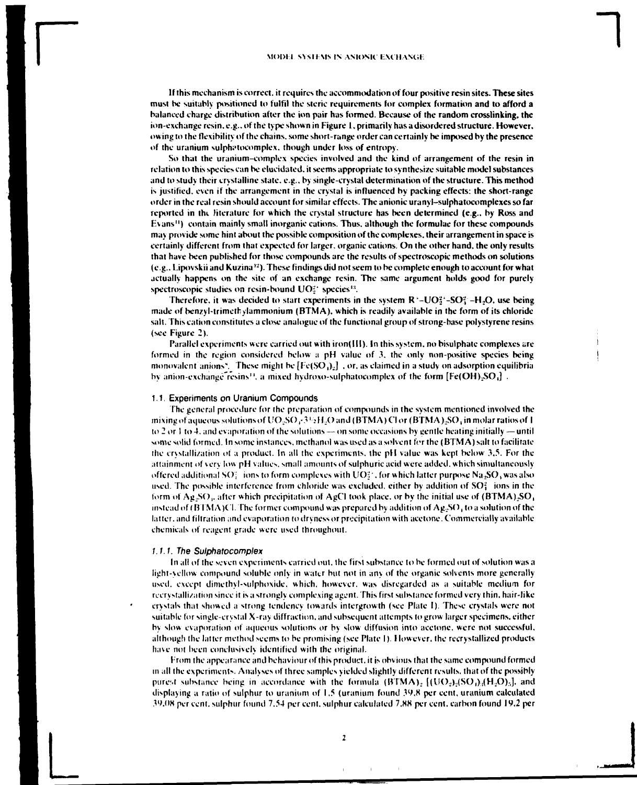#### **MODI I SYS IT. MS IN ANIONIC i:.\(.TIAN(it: .**

**If this mechanism is correct, it requires the accommodation of four positive resin sites. These sites must be suitably positioned to fulfil the steric requirements for complex formation and to afford a balanced charge distribution after the ion pair has formed. Because of the random crosslinking, the ion-exchange resin, e.g.. of the type shown in Figure 1, primarily has a disordered structure. However, owing to the flexibility of the chains, some short-range order can certainly be imposed by the presence**  of the uranium sulphatocomplex, though under loss of entropy.

**So that the uranium-complex species involved and the kind of arrangement of the resin in relation to this species can be elucidated, it seems appropriate to synthesize suitable model substances and to study their crystalline state, e.g.. by single-crystal determination of the structure. This method is justified, even if the arrangement in the crystal is influenced by packing effects: the short-range order in the real resin should account for similar effects. The anionic uranyl-sulphatocomplexes so far**  reported in the literature for which the crystal structure has been determined (e.g., by Ross and **Evans") contain mainly small inorganic cations. Thus, although the formulae for these compounds may provide some hint about the possible composition of the complexes, their arrangement in space is certainly different from that expected for larger, organic cations. On the other hand, the only results that have been published for those compounds are the results of spectroscopic methods on solutions**  (e.g., Lipovskii and Kuzina<sup>12</sup>). These findings did not seem to be complete enough to account for what **actually happens on the site of an exchange resin. The same argument holds good for purely**  spectroscopic studies on resin-bound UO<sup>2</sup> species<sup>13</sup>.

Therefore, it was decided to start experiments in the system  $R'-UO_2^2$ -SO $_4^2$ -H<sub>2</sub>O, use being **made of benzyl-trimethylammonium (BTMA), which is readily available in the form of its chloride salt. This cation constitutes a close analogue of the functional group of strong-base polystyrene resins (see Figure 2).** 

**Parallel experiments were carried out with iron(III). In this system, no bisulphate complexes are formed in the region considered below a pH value of 3. the only non-positive species being**  monovalent anions". These might be  $[Fe(SO<sub>1</sub>)<sub>2</sub>]$ , or, as claimed in a study on adsorption equilibria by anion-exchange resins<sup>11</sup>, a mixed hydroxo-sulphatocomplex of the form [Fe(OH)<sub>i</sub>SO<sub>1</sub>].

#### 1.1. Experiments on Uranium Compounds

**The general procedure for the preparation of compounds in the system mentioned involved the mixing of aqueous solutions of UO\_.SO,-3': H.O and (BTMA) CI or (BTMA** *)SO,* **in molar ratios of I to 2 or 1 to 4. and evaporation of the solutions — on some occasions by gentle heating initially — until some solid formed. In some instances, methanol was used as a solvent for the (BTMA) salt to facilitate the crystallization of a product. In all the experiments, the pH value was kept below 3,5. For the attainment of very low pH values, small amounts of sulphuric acid were added, which simultaneously**  offered additional  $SO_1^2$  ions to form complexes with  $UO_2^2$ ; for which latter purpose  $Na_2SO_3$  was also used. The possible interference from chloride was excluded, either by addition of  $SO<sub>4</sub><sup>2</sup>$  ions in the form of  $Ag<sub>2</sub>SO<sub>3</sub>$ , after which precipitation of AgCI took place, or by the initial use of  $(BTMA)<sub>2</sub>SO<sub>3</sub>$ instead of (BTMA)Cl. The former compound was prepared by addition of Ag<sub>2</sub>SO<sub>1</sub> to a solution of the **latter, and filtration and evaporation to dryness or precipitation with acetone. Commercially available chemicals of reagent grade were used throughout.** 

#### *1.1.1. The Sulphatocomplex*

**In all of the seven experiments carried out. the first substance to be formed out of solution was a light-yellow compound soluble only in water but not in any of the organic solvents more generally used, except dimethyl-sulphoxide. which, however, was disregarded as a suitable medium for ^crystallization since it is a strongly comple.xing agent. This first substance formed very thin, hair-like crystals that showed a strong tendency towards intergrowth (see Plate I). These crystals were not suitable for single-crystal X-ray diffraction, and subsequent attempts to grow larger specimens, either by slow evaporation of aqueous solutions or by slow diffusion into acetone, were not successful, although the latter method seems to be promising (see Plate I). However, the reerystallized products have not been conclusively identified with the original.** 

**From the appearance and behaviour of this product, it is obvious that the same compound formed in all the experiments. Analyses of three samples yielded slightly different results, that of the possibly purest substance being in accordance with the formula**  $(BTMA)_2$  $[(UD_2)_2(SO_1)_3(H_2O)_5]$ **, and displaying a ratio of sulphur to uranium of 1.5 (uranium found 39,8 per cent, uranium calculated 39.08 per cent, sulphur found 7.54 per cent, sulphur calculated 7.88 per cent, carbon found 19.2 per**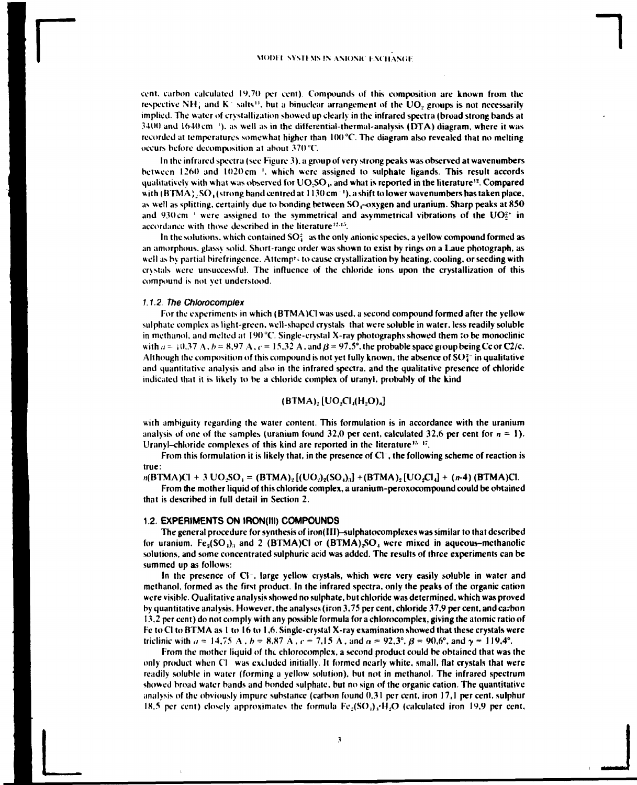**cent, carbon calculated 19.70 per cent). Compounds of this composition are known from the**  respective  $NH$ ; and  $K^+$  salts<sup>11</sup>, but a binuclear arrangement of the UO.. groups is not necessarily **implied. The water of crystallization showed up clearly in the infrared spectra (broad strong bands at 3400 and 1640cm '). as well as in the diffcrential-thermal-anaiysis (DTA) diagram, where it was recorded at temperatures somewhat higher than 100°C. The diagram also revealed that no melting occurs before decomposition at about 370 °C.** 

**In the infrared spectra (see Figure 3). a group of very strong peaks was observed at wavenumbers between 1260 and 1020cm '. which were assigned to sulphate ligands. This result accords qualitatively with what was observed for UO..SO,, and what is reported in the literature". Compared with (BTMAJ; SO, (strong band centred at 1130 cm '). a shift to lower wavenumbers has taken place, as well as splitting, certainly due to bonding between SO,-oxygen and uranium. Sharp peaks at 850**  and 930 cm<sup> $+$ </sup> were assigned to the symmetrical and asymmetrical vibrations of the  $UO<sub>2</sub><sup>2</sup>$  in accordance with those described in the literature<sup>12.15</sup>.

In the solutions, which contained SO<sub>1</sub> as the only anionic species, a yellow compound formed as **an amorphous, glassy solid. Short-range order was shown to exist by rings on a Laue photograph, as well as by partial birefringence. Attemp'- to cause crystallization by heating, cooling, or seeding with crystals were unsuccessful. The influence of the chloride ions upon the crystallization of this compound is not yet understood.** 

#### *1.1.2. The Chlorocomplex*

**For the experiments in which (BTMA)CI was used, a second compound formed after the yellow sulphate complex as light-green, well-shaped crystals that were soluble in water, less readily soluble in methanol, and melted at 190°C. Single-crystal X-ray photographs showed them to be monoclinic**  with  $a = 10,37$  A,  $b = 8,97$  A,  $c = 15,32$  A, and  $\beta = 97,5^{\circ}$ , the probable space group being Cc or C2/c. Although the composition of this compound is not yet fully known, the absence of  $SO<sub>4</sub><sup>-</sup>$  in qualitative **and quantitative analysis and also in the infrared spectra, and the qualitative presence of chloride indicated that it is likely to be a chloride complex of uranyl, probably of the kind** 

## $(BTMA)_{2}$   $[UO_{2}Cl_{4}(H_{2}O)_{n}]$

**with ambiguity regarding the water content. This formulation is in accordance with the uranium**  analysis of one of the samples (uranium found 32,0 per cent, calculated 32,6 per cent for  $n = 1$ ). Uranyl-chloride complexes of this kind are reported in the literature<sup>15–17</sup>.

From this formulation it is likely that, in the presence of Cl<sup>-</sup>, the following scheme of reaction is **true:** 

 $n(BTMA)C1 + 3 UO_2SO_1 = (BTMA)_2 [(UO_2)_2(SO_1)_3] + (BTMA)_2 [UO_2Cl_1] + (n-4) (BTMA)Cl$ .

**From the mother liquid of this chloride complex, a uranium-peroxocompound could be obtained that is described in full detail in Section 2.** 

#### **1.2. EXPERIMENTS ON IRON(HI) COMPOUNDS**

**The general procedure for synthesis of iron(III)-sulphatocomplexes was similar to that described**  for uranium. Fe<sub>4</sub>(SO<sub>i</sub>)<sub>3</sub> and 2 (BTMA)CI or (BTMA)<sub>2</sub>SO<sub>4</sub> were mixed in aqueous–methanolic **solutions, and some concentrated sulphuric acid was added. The results of three experiments can be summed up as follows:** 

In the presence of CI<sup>-</sup>, large yellow crystals, which were very easily soluble in water and **methanol, formed as the first product. In the infrared spectra, only the peaks of the organic cation were visible. Qualitative analysis showed no sulphate, but chloride was determined, which was proved by quantitative analysis. However, the analyses (iron 3,75 per cent, chloride 37,9 per cent, and carbon 13,2 per cent) do not comply with any possible formula for a chlorocomplex, giving the atomic ratio of Fe to CI to BTM A as 1 to 16 to 1,6. Single-crystal X-ray examination showed that these crystals were triclinic with**  $a = 14.75$  A ,  $b = 8.87$  A ,  $c = 7.15$  A , and  $\alpha = 92.3^{\circ}$ ,  $\beta = 90.6^{\circ}$ , and  $\gamma = 119.4^{\circ}$ .

**From the mother liquid of the chlorocomplex. a second product could be obtained that was the only product when CI was excluded initially. It formed nearly white, small, flat crystals that were readily soluble in water (forming a yellow solution), but not in methanol. The infrared spectrum showed broad water bands and bonded sulphate, but no sign of the organic cation. The quantitative analysis of ihe obviously impure substance (carbon found 0.31 per cent, iron 17,1 per cent, sulphur**  18.5 per cent) closely approximates the formula  $Fe_2(SO_1)_3$  $H_2O$  (calculated iron 19,9 per cent.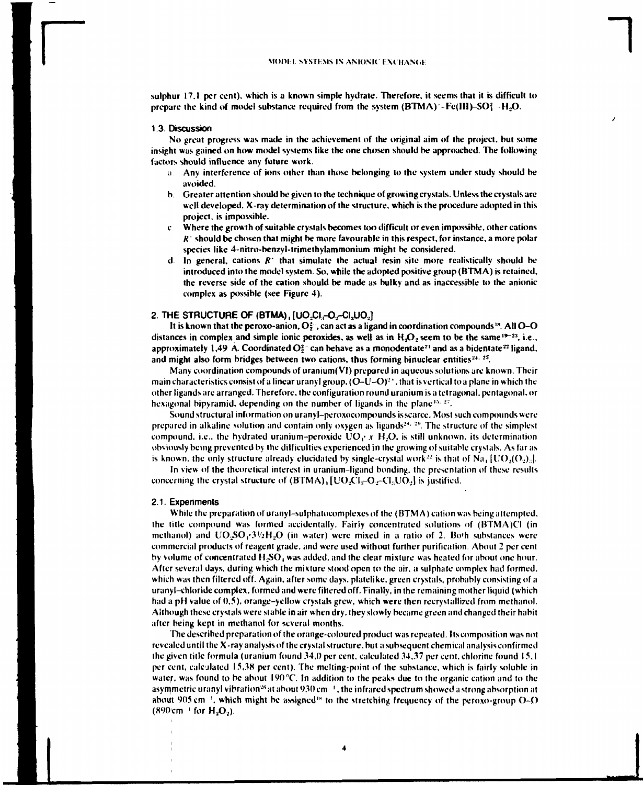**sulphur 17.1 per cent), which is a known simple hydrate. Therefore, it seems that it is difficult to prepare the kind of model substance required from the system (BTMA)'-Fe(III)-SO; -H<sub>2</sub>O.** 

#### **1.3. Discussion**

**No great progress was made in the achievement of the original aim of the project, but some insight was gained on how model systems like the one chosen should be approached. The following factors should influence any future work.** 

- **a Any interference of ions other than those belonging to the system under study should be avoided.**
- **b. Greater attention should be given to the technique of growing crystals. Unless the crystals are well developed. X-ray determination of the structure, which is the procedure adopted in this project, is impossible.**
- **c. Where the growth of suitable crystals becomes too difficult or even impossible, other cations**  *R* **should be chosen that might be more favourable in this respect, for instance, a more polar species like 4-nitro-benzyl-trimethylammonium might be considered.**
- **d. In general, cations** *R'* **that simulate the actual resin site more realistically should be introduced into the model system. So, while the adopted positive group (BTM A) is retained, the reverse side of the cation should be made as bulky and as inaccessible to the anionic complex as possible (see Figure 4).**

#### **2. THE STRUCTURE OF (BTMA), [UO,Cl,-0,-CI.UOJ**

**It is known that the peroxo-anion,** *0\* **, can act as a ligand in coordination compounds<sup>1</sup> ". All O-O**  distances in complex and simple ionic peroxides, as well as in  $H_2O_2$  seem to be the same  $P^{-23}$ , i.e., approximately 1,49 A. Coordinated  $O_2^2$  can behave as a monodentate<sup>21</sup> and as a bidentate<sup>22</sup> ligand, and might also form bridges between two cations, thus forming binuclear entities<sup>24, 25</sup>.

**Many coordination compounds of uranium( VI) prepared in aqueous solutions arc known. Their**  main characteristics consist of a linear uranyl group.  $(O-U-O)^2$ ; that is vertical to a plane in which the **other ligands are arranged. Therefore, the configuration round uranium is a tetragonal, pentagonal, or**  hexagonal bipyramid, depending on the number of ligands in the plane<sup>15, 27</sup>.

**Sound structural information on uranyl-peroxocompounds is scarce. Most such compounds were**  prepared in alkaline solution and contain only oxygen as ligands<sup>29</sup><sup>29</sup>. The structure of the simplest compound, i.e., the hydrated uranium-peroxide  $UO_i$ .  $x$ ,  $H_2O_i$ , is still unknown, its determination **obviously being prevented by the difficulties experienced in the growing of suitable crystals. As far as**  is known, the only structure already elucidated by single-crystal work<sup>22</sup> is that of Na<sub>1</sub> [UO.(O.<sub>2)</sub>.].

**In view of the theoretical interest in uranium-ligand bonding, the presentation of these results**  concerning the crystal structure of (BTMA),  $[UO_2Cl_3-O_2-Cl_3UO_2]$  is justified.

#### **2.1. Experiments**

**While the preparation of uranyl-sulphatocomplexes of the (BTMA) cation was being attempted, the title compound was formed accidentally. Fairly concentrated solutions of (BTMA)CI (in**  methanol) and  $UO_2SO_1\cdot 3\frac{1}{2}H_2O$  (in water) were mixed in a ratio of 2. Both substances were **commercial products of reagent grade, and were used without further purification About 2 per cent**  by volume of concentrated H<sub>2</sub>SO, was added, and the clear mixture was heated for about one hour. **After several days, during which the mixture stood open to the air. a sulphate complex had formed, which was then filtered off. Again, after some days, platelike, green crystals, probably consisting of a uranyl-chloride complex, formed and were filtered off. Finally, in the remaining mother liquid (which had a pH value of 0,5), orange-yellow crystals grew, which were then recrystallized from methanol. Although these crystals were stable in air when dry, they slowly became green and changed their habit after being kept in methanol for several months.** 

**The described preparation of the orange-coloured product was repeated. Its composition was not revealed until the X-ray analysis of the crystal structure, but a subsequent chemical analysis confirmed the given title formula (uranium found 34,0 per cent, calculated 34,37 per cent, chlorine found 15,1 per cent, calculated 15,38 per cent). The melting-point of the substance, which is fairly soluble in**  water, was found to be about  $190^{\circ}$ C. In addition to the peaks due to the organic cation and to the asymmetric uranyl vibration<sup>26</sup> at about 930 cm  $^{-1}$ , the infrared spectrum showed a strong absorption at **about 905 cm ', which might be assigned'" to the stretching frequency of the peroxo-group O-O (890cm ' for H,Oa).**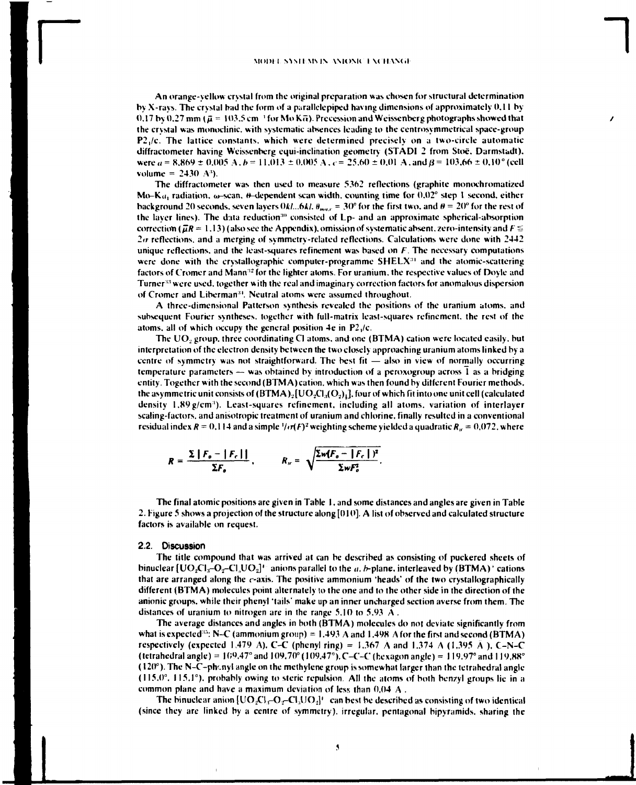An orange-yellow crystal from the original preparation was chosen for structural determination by X-rays. The crystal had the form of a parallelepiped having dimensions of approximately 0.11 by 0.17 by 0.27 mm ( $\bar{\mu}$  = 103.5 cm <sup>+</sup> for Mo K $\bar{\alpha}$ ). Precession and Weissenberg photographs showed that the crystal was monoclinic. with systematic absences leading to the centrosymmetrical space-group P2,/c. The lattice constants, which were determined precisely on a two-circle automatic diffractometer having Weissenberg equi-inclination geometry (STADI 2 from Stoë, Darmstadt), were  $a = 8.869 \pm 0.005$  A,  $b = 11.013 \pm 0.005$  A,  $c = 25.60 \pm 0.01$  A, and  $\beta = 103.66 \pm 0.10$  ° (cell volume = 2430 A<sup>3</sup>).

The diffractometer was then used to measure 5362 reflections (graphite monochromatized Mo-K<sub>a</sub>, radiation,  $\omega$ -scan,  $\theta$ -dependent scan width, counting time for 0.02° step 1 second, either background 20 seconds, seven layers  $0kL.6kL$ ,  $\theta_{max} = 30^{\circ}$  for the first two, and  $\theta = 20^{\circ}$  for the rest of the layer lines). The data reduction'" consisted of Lp- and an approximate spherical-absorption correction ( $\bar{\mu}R = 1.13$ ) (also see the Appendix), omission of systematic absent, zero-intensity and  $F \leq$ 2<r reflections, and a merging of symmetry-related reflections. Calculations were done with 2442 unique reflections, and the least-squares refinement was based on *F.* The necessary computations were done with the crystallographic computer-programme  $SHELX<sup>31</sup>$  and the atomic-scattering factors of Cromer and Mann<sup>32</sup> for the lighter atoms. For uranium, the respective values of Doyle and Turner" were used, together with the real and imaginary correction factors for anomalous dispersion of Cromer and Liberman". Neutral atoms were assumed throughout.

A three-dimensional Patterson synthesis revealed the positions of the uranium atoms, and subsequent Fourier syntheses, together with full-matrix least-squares refinement, the rest of the atoms, all of which occupy the general position  $4e$  in  $P2<sub>1</sub>/c$ .

The  $UO<sub>2</sub>$  group, three coordinating CI atoms, and one (BTMA) cation were located easily, but interpretation of the electron density between the two closely approaching uranium atoms linked by a centre of symmetry was not straightforward. The best fit — also in view of normally occurring temperature parameters — was obtained by introduction of a peroxogroup across  $\overline{1}$  as a bridging entity. Together with the second (BTMA) cation, which was then found by ditferent Fourier methods, the asymmetric unit consists of  $(BTMA)_2[UO_2Cl_3(O_2)_1]$ , four of which fit into one unit cell (calculated density  $1.89$  g/cm<sup>3</sup>). Least-squares refinement, including all atoms, variation of interlayer scaling-factors. and anisotropic treatment of uranium and chlorine, finally resulted in a conventional residual index  $R = 0.114$  and a simple  $\frac{1}{r}$   $(r(F)^2$  weighting scheme yielded a quadratic  $R_{\mu} = 0.072$ , where

$$
R = \frac{\sum |F_o - |F_c||}{\sum F_o}, \qquad R_w = \sqrt{\frac{\sum w(F_o - |F_c|)^2}{\sum wF_o^2}}.
$$

The final atomic positions are given in Table 1, and some distances and angles are given in Table 2. Figure 5 shows a projection of the structure along [010]. A list of observed and calculated structure factors is available on request.

#### **2.2. Discussion**

The title compound that was arrived at can be described as consisting of puckered sheets of binuclear  $[UO_2Cl_3-O_2Cl_3UO_2]^+$  anions parallel to the *a, b*-plane, interleaved by (BTMA)<sup>+</sup> cations that are arranged along the  $c$ -axis. The positive ammonium 'heads' of the two crystallographically different (BTMA) molecules point alternately to the one and to the other side in the direction of the anionic groups, while their phenyl 'tails' make up an inner uncharged section averse from them. The distances of uranium to nitrogen are in the range 5,10 to 5.93 A .

The average distances and angles in both (BTMA) molecules do not deviate significantly from what is expected<sup>35</sup>: N-C (ammonium group) = 1.493 A and 1.498 A for the first and second (BTMA) respectively (expected 1.479 A), C-C (phenyl ring) = 1.367 A and 1.374 A (1.395  $\AA$ ), C-N-C (tetrahedral angle) =  $109.47^{\circ}$  and  $109.70^{\circ}$  (109.47°). C-C-C (hexagon angle) = 119.97° and 119.88°  $(120^\circ)$ . The N-C-phenyl angle on the methylene group is somewhat larger than the tetrahedral angle (115.0°. 115.1°), probably owing to steric repulsion. All the atoms of both benzyl groups lie in a common plane and have a maximum deviation of less than 0.04 A .

The binuclear anion  $[UO_2Cl_3-O_2Cl_3]UO_2]'$  can best be described as consisting of two identical (since they arc linked by a centre of symmetry), irregular, pentagonal bipyramids. sharing the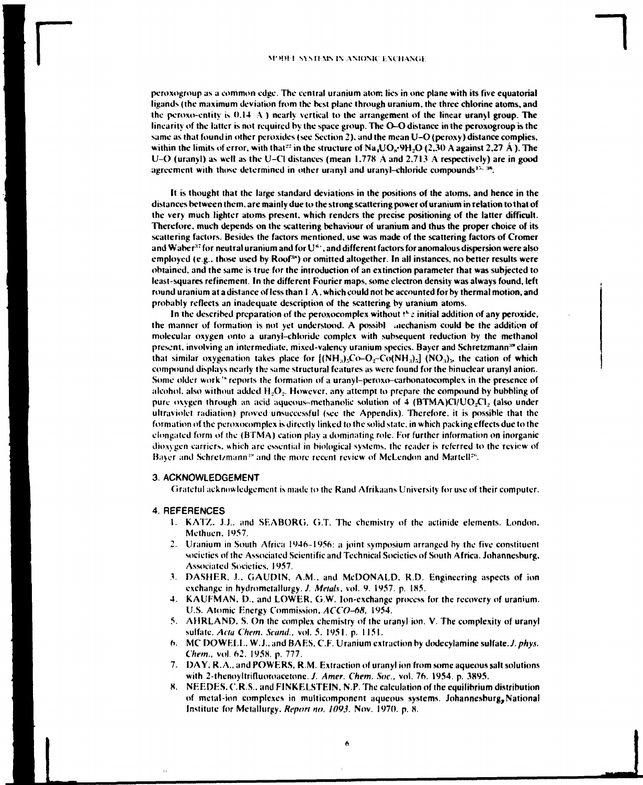#### **M'mi-.l SYM'I-AtS IN** AMDXIl' **I \ l HANíil**

**peroxogroup as a common edge. The central uranium atom lies in one plane with its five equatorial ligands (the maximum deviation from the best plane through uranium, the three chlorine atoms, and the peroxo-entity is 0.14 A ) nearly vertical to the arrangement of the linear uranyl group. The linearity of the latter is not required by the space group. The O-O distance in the peroxogroup is the same as that found in other peroxides (see Section 2). and the mean U-O (peroxy) distance complies,**  within the limits of error, with that<sup>22</sup> in the structure of  $Na_4UO_n·9H_2O$  (2.30 A against 2.27 A ). The **U-O (uranyl) as well as the U-CI distances (mean 1.778 A and 2.713 A respectively) are in good**  agreement with those determined in other uranyl and uranyl-chloride compounds<sup>15, 38</sup>.

**It is thought that the large standard deviations in the positions of the atoms, and hence in the distances between them, are mainly due to the strong scattering power of uranium in relation to that of the very much lighter atoms present, which renders the precise positioning of the latter difficult. Therefore, much depends on the scattering behaviour of uranium and thus the proper choice of its scattering factors. Besides the factors mentioned, use was made of the scattering factors of Cromer**  and Waber<sup>17</sup> for neutral uranium and for U\*', and different factors for anomalous dispersion were also **employed (e.g.. those used by Roof") or omitted altogether. In all instances, no better results were obtained, and the same is true for the introduction of an extinction parameter that was subjected to least-squares refinement. In the different Fourier maps, some electron density was always found, left round uranium at a distance of less than I A. which could not be accounted for by thermal motion, and probably reflects an inadequate description of the scattering by uranium atoms.** 

In the described preparation of the peroxocomplex without *the* initial addition of any peroxide, **the manner of formation is not yet understood. A possibl .iiechanism could be the addition of molecular oxygen onto a uranyl-chloride complex with subsequent reduction by the methanol present, involving an intermediate, mixed-valency uranium species. Bayer and Schretzmann \*" claim that similar oxygenation takes place for**  $[(NH_3)_5Co-O_2-Co(NH_3)_3]$  **(NO<sub>3</sub>)<sub>3</sub>, the cation of which compound displays nearly the same structural features as were found for the binuclear uranyl anion. Some older work'" reports the formation of a uranyl-peroxo-carbonatocomplcx in the presence of alcohol, also without added H20..,. However, any attempt to prepare the compound by bubbling of**  pure oxygen through an acid aqueous-methanolic solution of 4 (BTMA)Cl/UO<sub>2</sub>Cl<sub>2</sub> (also under **ultraviolet radiation) proved unsuccessful (see the Appendix). Therefore, it is possible that the formation of the peroxocomplex is directly linked to the solid state, in which packing effects due to the elongated form of the (BTMA) cation play a dominating role. For further information on inorganic dioxygen carriers, which are essential in biological systems, the reader is referred to the review of**  Bayer and Schretzmann<sup>39</sup> and the more recent review of McLendon and Martell<sup>26</sup>.

#### **3. ACKNOWLEDGEMENT**

**Grateful acknowledgement is made to the Rand Afrikaans University for use of their computer.** 

### **4. REFERENCES**

 $\pm 1$ 

- **1. KATZ. J.J., and SEABORG, GT. The chemistry of the actinidc elements. London. Methuen. 1957.**
- **2. Uranium in South Africa 1946-1956: a joint symposium arranged by the five constituent societies of the Associated Scientific and Technical Societies of South Africa. Johannesburg, Associated Societies, 1957.**
- **3. DASHER, .!.. GAUDIN, A.M., and McDONALD. R.D. Engineering aspects of ion exchange in hydrometallurgy.** *J. Metals,* **vol. 9. 1957. p. IS5.**
- **4. KAUFMAN. D., and LOWER, G.W. Ion-exchange process for the recovery of uranium. U.S. Atomic Energy Commission,** *ACCO-68,* **1954.**
- **5. AHRLAND. S. On the complex chemistry of the uranyl ion. V. The complexity of uranyl sulfate.** *Acta Chem. Scund.,* **vol. 5. 1951. p. 1151.**
- **6. MC DOWKLL. W.J., and BAES. C.F. Uranium extraction by dodecylamine sulfate./,** *phys. Chem.,* **vol.62. 1958. p. 777.**
- **7. DAY. R.A., and POWERS, R.M. Extraction of uranyl ion from some aqueous salt solutions with 2-thenoyltrifluoroacetone.** *J. Amer. Chem. Soc,* **vol. 76. 1954. p. 3895.**
- **8. NEEDES. C.R.S.. and FINKELSTEIN, N.P. The calculation of the equilibrium distribution of metal-ion complexes in multicomponent aqueous systems. Johannesburg, National Institute for Metallurgy.** *Report no. 1093.* **Nov. 1970. p. 8.**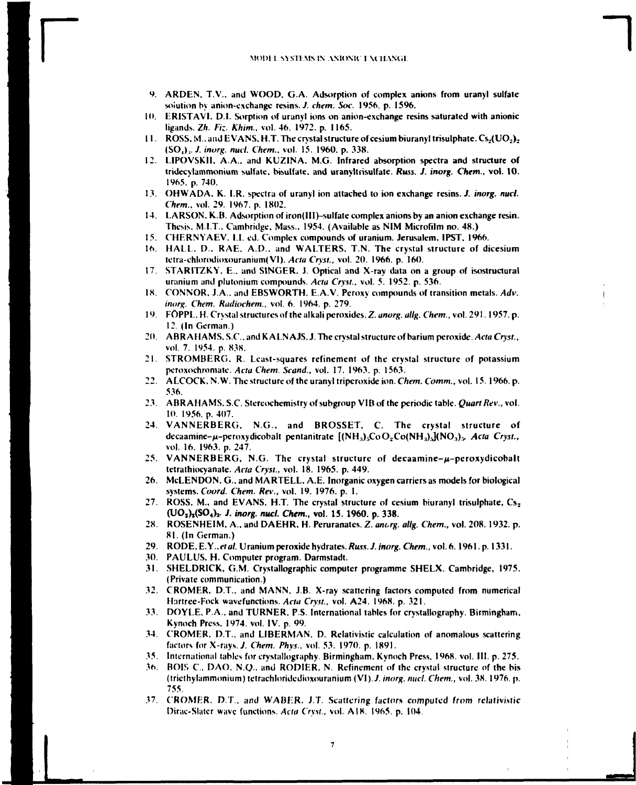# **r <sup>i</sup> MODHL SYSTEMS IN ANIONIC ENCHANGE**

- 9 . ARDEN . T.V. . an d WOOD . GA . Adsorptio n o f comple x anion s fro m uranyl sulfate solution by anion-exchange resins. *J. chem. Soc.* 1956. p. 1596.
- 10. ERISTAVI, D.I. Sorption of uranyl ions on anion-exchange resins saturated with anionic ligands . *Zh. Fiz- Khim..* vol . 46 . 1972 . p . 1165.
- 11. ROSS, M., and EVANS, H.T. The crystal structure of cesium biuranyl trisulphate.  $\text{Cs}_{\text{2}}(\text{UO}_{2})_{2}$ (SO,), . *J. inorg. nucl. Chem..* vol . 15 . 1960 . p . 338.
- 12. LIPOVSKII, A.A., and KUZINA, M.G. Infrared absorption spectra and structure of tridecylammonium sulfate, bisulfate, and uranyltrisulfate. Russ. *J. inorg. Chem.*, vol. 10. 1965. p. 740.
- 13. OHWADA, K. I.R. spectra of uranyl ion attached to ion exchange resins. *J. inorg. nucl. Chem., vol. 29. 1967. p. 1802.*
- 14. LARSON , K.B . Adsorptio n o f iron(III}-surfat e comple x anion s b y a n anio n exchang e resin. Thesis, M.I.T., Cambridge, Mass., 1954. (Available as NIM Microfilm no. 48.)
- 15. CHERNYAEV, I.I. ed. Complex compounds of uranium. Jerusalem, IPST, 1966.
- 16. HALL, D., RAE, A.D., and WALTERS, T.N. The crystal structure of dicesium tetra-chlorodioxouranium(VI). *Acta Cryst.*, vol. 20. 1966. p. 160.
- 17. STARITZKY, E., and SINGER, J. Optical and X-ray data on a group of isostructural uraniu m an d plutoniu m compounds . *Acta Cryst.,* vol . 5 . 1952 . p . 536.
- 18. CONNOR, J.A., and EBSWORTH, E.A.V. Peroxy compounds of transition metals. Adv. *inorg. Chem. Radiochem.,* vol . 6 . 1964 . p . 279.
- 19. FOPPL. H. Crystal structures of the alkali peroxides. Z. *anorg. allg. Chem.*, vol. 291. 1957. p. 12. (I n German.)
- 20. ABRAHAMS, S.C., and KALNAJS, J. The crystal structure of barium peroxide. Acta Cryst., vol. 7 . 1954 . p . 838.
- 21. STROMBERG . R . Least-square s refinemen t o f th e crystal structur e o f potassium peroxochromate . *Acta Chem. Scand.,* vol . 17 . 1963 . p . 1563.
- 22. ALCOCK, N.W. The structure of the uranyl triperoxide ion. *Chem. Comm.*, vol. 15. 1966. p. 536.
- 23. ABRAHAMS, S.C. Stereochemistry of subgroup VIB of the periodic table. *Quart Rev.*, vol. 10. 1956 . p . 407.
- 24. VANNERBERG, N.G., and BROSSET, C. The crystal structure of decaamine- $\mu$ -peroxydicobalt pentanitrate  $[(NH_3)_5CoO_2Co(NH_3)_5] (NO_3)_5$ . *Acta Cryst.*, vol. 16 . 1963 . p . 247.
- 25. VANNERBERG, N.G. The crystal structure of decaamine–µ–peroxydicobalt tetrathiocyanate . *Acta Cryst.,* vol . 18 . 1965 . p . 449.
- 26. McLENDON, G., and MARTELL, A.E. Inorganic oxygen carriers as models for biological systems . *Coord. Chem. Rev.,* vol . 19 . 1976 . p . 1.
- 27. ROSS, M., and EVANS, H.T. The crystal structure of cesium biuranyl trisulphate,  $Cs<sub>2</sub>$ (UO<sub>2</sub>)<sub>2</sub>(SO<sub>4</sub>)<sub>3</sub>. *J. inorg. nucl. Chem.*, vol. 15. 1960. p. 338.
- 28. ROSENHEIM, A., and DAEHR, H. Peruranates. Z. anorg. allg. Chem., vol. 208. 1932. p. 81. (I n German.)
- 29. RODE, E.Y., *et al.* Uranium peroxide hydrates. *Russ. J. inorg. Chem.*, vol. 6. 1961. p. 1331.
- 30. PAULUS , H . Compute r program . Darmstadt.
- 31. SHELDRICK, G.M. Crystallographic computer programme SHELX. Cambridge, 1975. (Privat e communication.)
- 32. CROMER, D.T., and MANN, J.B. X-ray scattering factors computed from numerical Hartree-Fock wavefunctions. *Acta Cryst.*, vol. A24. 1968. p. 321.
- 33. DOYLE, P.A., and TURNER, P.S. International tables for crystallography. Birmingham, Kynoc h Press . 1974 . vol . IV . p . 99.
- 34. CROMER, D.T., and LIBERMAN, D. Relativistic calculation of anomalous scattering factor s fo r X-rays . *J. Chem. Phys.,* vol . 53 . 1970 . p . 1891.
- 35. International table s fo r crystallography . Birmingham . Kynoc h Press , 1968 . vol . III . p . 275.
- 36. BOIS C., DAO, N.Q., and RODIER, N. Refinement of the crystal structure of the bis (tricthylammonium) tetrachloridedioxouranium (VI). *J. inorg. nucl. Chem.*, vol. 38. 1976. p. 755.
- 37. CROMER, D.T., and WABER. J.T. Scattering factors computed from relativistic Dirac-Slater wave functions. *Acta Cryst.*, vol. A18. 1965. p. 104.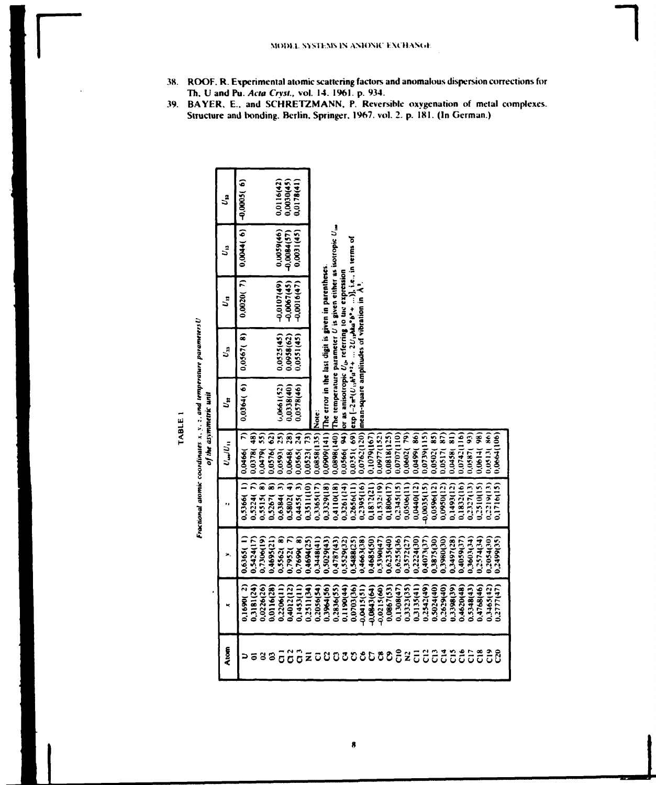- 38. ROOF, R. Experimental atomic scattering factors and anomalous dispersion corrections for Th, U and Pu. Acta Cryst., vol. 14. 1961. p. 934.
- 39. BAYER, E., and SCHRETZMANN, P. Reversible oxygenation of metal complexes. Structure and bonding. Berlin, Springer, 1967. vol. 2. p. 181. (In German.)

|                                                                                                    | ບ້າ                                                                       | $-0.0005(6)$ |            |            |                                | 0,0116(42)    | 0.0030(45)                       | 0,0178(41)             |            |             |                                                                 |                                                                                      |                                                                           |                                                                                  |                                                       |             |               |             |               |                     |             |               |            |             |            |             |            |            |               |             |
|----------------------------------------------------------------------------------------------------|---------------------------------------------------------------------------|--------------|------------|------------|--------------------------------|---------------|----------------------------------|------------------------|------------|-------------|-----------------------------------------------------------------|--------------------------------------------------------------------------------------|---------------------------------------------------------------------------|----------------------------------------------------------------------------------|-------------------------------------------------------|-------------|---------------|-------------|---------------|---------------------|-------------|---------------|------------|-------------|------------|-------------|------------|------------|---------------|-------------|
| Fractional atomic coordinates $x, y, z$ , and temperature parameters $U$<br>of the asymmetric unit |                                                                           |              |            |            |                                |               |                                  |                        |            |             |                                                                 |                                                                                      |                                                                           |                                                                                  |                                                       |             |               |             |               |                     |             |               |            |             |            |             |            |            |               |             |
|                                                                                                    | $U_{\rm B}$                                                               | 0,0044(6)    |            |            |                                | 0,0059(46)    | $-0.0084(57)$                    | 0,0031(45)             |            |             |                                                                 |                                                                                      |                                                                           |                                                                                  |                                                       |             |               |             |               |                     |             |               |            |             |            |             |            |            |               |             |
|                                                                                                    | J.,                                                                       | 0,00200(7)   |            |            |                                | $-0,0107(49)$ | $-0.0067(45)$                    | $-0,0016(47)$          |            |             | 0.0909(141) The error in the last digit is given in parentheses |                                                                                      |                                                                           | $0.0351(69)$ exp $[-2\pi^2(U_1h^2a^{9} +  2U_1hba^6b^4 + )]$ , i.e., in terms of |                                                       |             |               |             |               |                     |             |               |            |             |            |             |            |            |               |             |
|                                                                                                    | $\mathbf{s}^2$                                                            | 0,0567(8)    |            |            |                                | 0,0525(45)    | 0.0958(62)                       | 0,0551(45)             |            |             |                                                                 |                                                                                      |                                                                           |                                                                                  |                                                       |             |               |             |               |                     |             |               |            |             |            |             |            |            |               |             |
|                                                                                                    | .<br>ئ                                                                    | 0,0364(6)    |            |            |                                | 0,0661(52)    | 0,0338(40)                       | 0,0578(46)             |            | Note:       |                                                                 | 0,0898(140) The temperature parameter U is given either as isotropic U <sub>im</sub> | 0.0566( $94$ ) for as anisotropic $U_{\nu}$ , referring to the expression |                                                                                  | 0,0762(120) mean-square amplitudes of vibration in Å? |             |               |             |               |                     |             |               |            |             |            |             |            |            |               |             |
|                                                                                                    | $\boldsymbol{\mathcal{U}_{\omega\omega}}\boldsymbol{\mathcal{U}_{\nu_1}}$ | 0,0466       | 0.0378(48) | 0,0479(55) | $\tilde{c}$<br>0,0576          | 0,0593(25)    | 28)<br>0,0648                    | $\mathbf{a}$<br>0,0565 | 0.0523(73) | 0.0858(135) |                                                                 |                                                                                      |                                                                           |                                                                                  |                                                       | 0,1079(167) | 0,0977(152)   | 0,0818(125) | 0,0707(110)   | 0,0602(79)          | 0.04991 86) | 0.0739(115)   | 0,0502(85) | 0,0517(87)  | 0,0458(81) | 0,0742(116) | 0,0587(93) | 0.0614(98) | 0,0513(86)    | 0.0664(106) |
|                                                                                                    | .,                                                                        | 0,5366(1)    | 0.5224(7)  | 0,5515(8)  | $\widehat{\bullet}$<br>0,52671 | 0.6384(3)     | $\widehat{\mathbf{t}}$<br>0.5802 | 0,4455(3)              | 0,3511(10) | 0,3365(17)  | 0,3329(18)                                                      | 0,4110(18)                                                                           | 0.3261(14)                                                                | 0,2656(11)                                                                       | 1,2395(16)                                            | 0,1832(21)  | 0,1532(19)    | 0,1806(17)  | 0,2345(15)    | 0,0506(11)          | 0.0440(12)  | 0,0035(15)    | 0,0596(12) | 0,0950(12)  | 0.1493(12) | 0,1832(16)  | 0,2327(13) | 1,2510(15) | 0,2219(13)    | 0,1716(15)  |
|                                                                                                    | ×.                                                                        | 0.6365(1)    | 0.5424(17) | 0,7306(19) | 0,4695(21)                     | 0.5562(8)     | 0,7952(7)                        | 0,7699(8)              | 0,4694(25) | 0.3448(41)  | 0,5029(43)                                                      | 0,4787(43)                                                                           | 0,5529(32)                                                                | 0.5488(25)                                                                       | 0,4663(38)                                            | 0,4685(50)  | 0.5390(47)    | 0,6235(40)  | 0,6255(36)    | 0,3572(27)          | 0,2224(30)  | 0,4073(37)    | 0.3875(30) | 0.3980(30)  | 0,3497(28) | 0,4059(37)  | (1360)(34) | 0.2574(34) | 0.2054(30)    | 0.2499(35)  |
|                                                                                                    | ×                                                                         | 0.1690(2)    | 0,3181(24) | 0,0226(26) | 0,0116(28)                     | 0,2206(11)    | 0,4012(12)                       | 0.1453(11)             | 0,2511(34) | 0,2056(54)  | 0,3964(56)                                                      | 0,2836(55)                                                                           | 0,1190(44)                                                                | 0,0703(36)                                                                       | $-0.0415(51)$                                         | (19)(190)   | $-0.0215(60)$ | 0,0867(53)  | 0.1308(47)    | 0,3323(35)          | 0,3135(41)  | 0.2542(49)    | 0,5024(40) | 0.2629(40)  | 0.3398(39) | 0,4620(48)  | 0.5348(43) | 0,4768(46) | 0.3465(42)    | 0.2777(47)  |
|                                                                                                    | &<br>≷                                                                    |              | ఠ          | $\approx$  | ဒ                              | ō             | $\frac{2}{5}$                    | $\ddot{\mathbf{c}}$    | $\bar{z}$  | ō           |                                                                 |                                                                                      |                                                                           | <b>COUCE</b>                                                                     |                                                       |             | ೮೮            |             | $\frac{6}{5}$ | $\ddot{\mathbf{z}}$ | $\vec{c}$   | $\frac{2}{5}$ | ĉ          | $\tilde{c}$ |            | ភិទី        | <u>ក</u>   | ិ          | $\frac{3}{5}$ | ថិ          |

TABLE 1

 $\overline{a}$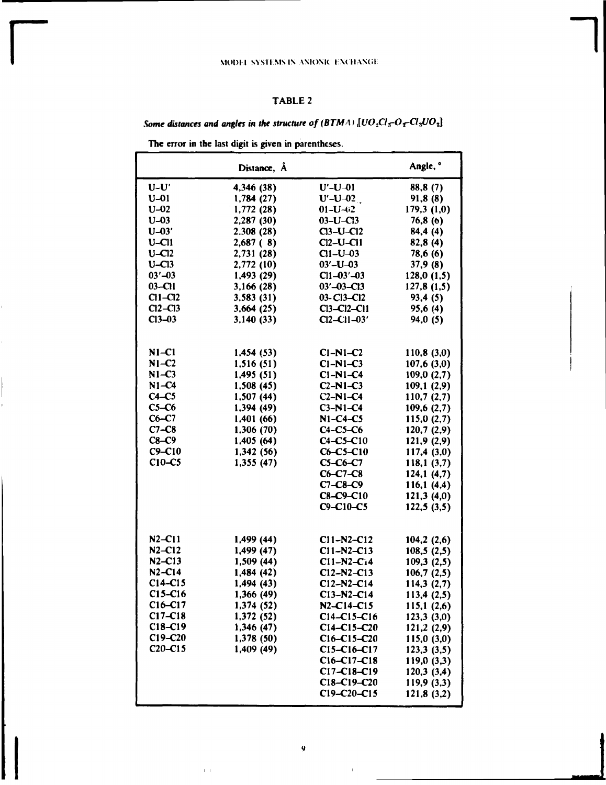# TABLE 2

# Some distances and angles in the structure of  $(BTMA)$ ,  $[UO_2Cl_3-O_TCl_3UO_3]$

|             | Distance, Å |                                                   | Angle, °   |
|-------------|-------------|---------------------------------------------------|------------|
| $U-U'$      | 4,346 (38)  | $U'$ – $U$ –01                                    | 88,8 (7)   |
| $U-01$      | 1,784 (27)  | $U'$ - $U$ -02                                    | 91,8(8)    |
| $U-02$      | 1,772 (28)  | $01-U-42$                                         | 179,3(1,0) |
| $U-03$      | 2,287 (30)  | $03 - U - C13$                                    | 76,8(6)    |
| $U-03'$     | 2.308 (28)  | $CI3-U-C12$                                       | 84,4 (4)   |
| $U - Cl1$   | 2,687(8)    | $Cl2-U-Cl1$                                       | 82,8 (4)   |
| $U - C12$   | 2,731 (28)  | $Cl1-U-03$                                        | 78,6 (6)   |
| $U-C13$     | 2,772(10)   | $03' - U - 03$                                    | 37,9(8)    |
| $03' - 03$  | 1,493 (29)  | $Cl1 - 03' - 03$                                  | 128,0(1,5) |
| $03 - C11$  | 3,166 (28)  | $03' - 03 - C13$                                  | 127,8(1,5) |
| $C11-C12$   | 3,583 (31)  | 03-C13-C12                                        | 93,4 (5)   |
| $C12-C13$   | 3,664(25)   | C <sub>13</sub> -C <sub>12</sub> -C <sub>11</sub> | 95,6 (4)   |
| $C13 - 03$  | 3,140 (33)  | $Cl2 - Cl1 - 03'$                                 | 94,0 (5)   |
|             |             |                                                   |            |
| N1-C1       | 1,454 (53)  | $CI-N1-C2$                                        | 110,8(3,0) |
| $NI-C2$     | 1,516(51)   | $CI-N1-C3$                                        | 107,6(3,0) |
| $N1-C3$     | 1,495 (51)  | $Cl-N1-C4$                                        | 109,0(2,7) |
| $N1 - C4$   | 1,508(45)   | $C2-N1-C3$                                        | 109,1(2,9) |
| $C4-C5$     | 1,507(44)   | $C2-N1-C4$                                        | 110,7(2,7) |
| $C5-C6$     | 1,394 (49)  | $C3-N1-C4$                                        | 109,6(2,7) |
| $C6-C7$     | 1,401(66)   | $N1-C4-C5$                                        | 115,0(2,7) |
| $C7-C8$     | 1,306 (70)  | $C4-C5-C6$                                        | 120,7(2,9) |
| $C8-C9$     | 1,405(64)   | $C4-C5-C10$                                       | 121,9(2,9) |
| $C9-C10$    | 1,342(56)   | $C6-C5-C10$                                       | 117,4(3,0) |
| $C10-C5$    | 1,355(47)   | $C5-C6-C7$                                        | 118,1(3,7) |
|             |             | $C6-C7-C8$                                        | 124,1(4,7) |
|             |             | $C7-C8-C9$                                        | 116,1(4,4) |
|             |             | $C8-C9-C10$                                       | 121,3(4,0) |
|             |             | $C9-C10-C5$                                       | 122,5(3,5) |
|             |             |                                                   |            |
| $N2-C11$    | 1,499 (44)  | $C11 - N2 - C12$                                  | 104,2(2,6) |
| $N2 - C12$  | 1,499 (47)  | $C11 - N2 - C13$                                  | 108,5(2,5) |
| $N2-C13$    | 1,509 (44)  | $C11-N2-C14$                                      | 109,3(2,5) |
| $N2 - C14$  | 1,484 (42)  | $C12-N2-C13$                                      | 106,7(2,5) |
| $C14-C15$   | 1,494 (43)  | $C12-N2-C14$                                      | 114,3(2,7) |
| $C15-C16$   | 1,366 (49)  | $C13 - N2 - C14$                                  | 113,4(2,5) |
| $C16 - C17$ | 1,374 (52)  | $N2 - C14 - C15$                                  | 115,1(2,6) |
| $C17-C18$   | 1,372 (52)  | $C14 - C15 - C16$                                 | 123,3(3,0) |
| $C18-C19$   | 1,346 (47)  | $C14-C15-C20$                                     | 121,2(2,9) |
| $C19 - C20$ | 1,378(50)   | $C16-C15-C20$                                     | 115,0(3,0) |
| $C20-C15$   | 1,409 (49)  | C15-C16-C17                                       | 123,3(3,5) |
|             |             | C16-C17-C18                                       | 119,0(3,3) |
|             |             | C17-C18-C19                                       | 120,3(3,4) |
|             |             | C18-C19-C20                                       | 119,9(3,3) |
|             |             | C19-C20-C15                                       | 121,8(3,2) |

 $\boldsymbol{9}$ 

 $\bar{1}$  .  $\bar{1}$ 

The error in the last digit is given in parentheses.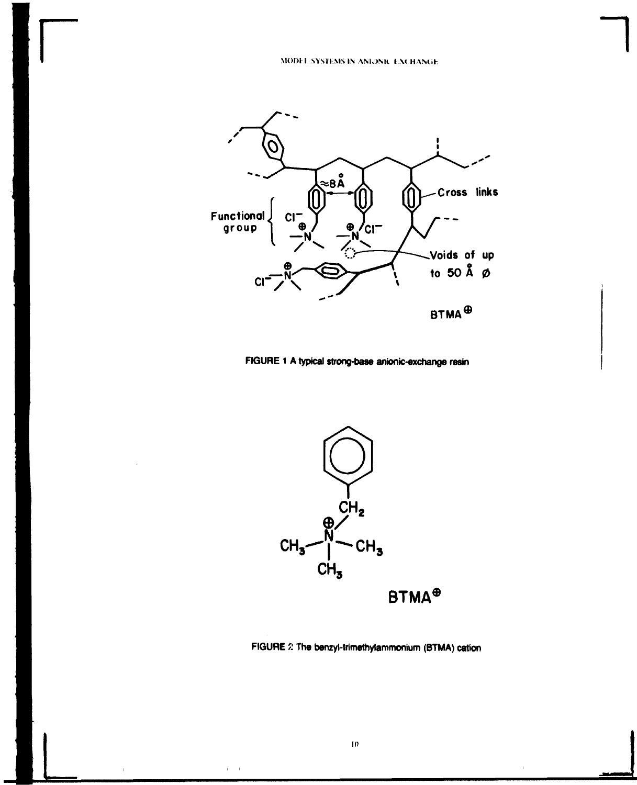

FIGURE 1 A typical strong-base anionic-exchange resin



FIGURE 2 The benzyl-trimethylammonium (BTMA) cation

 $\pm$   $\pm$   $\pm$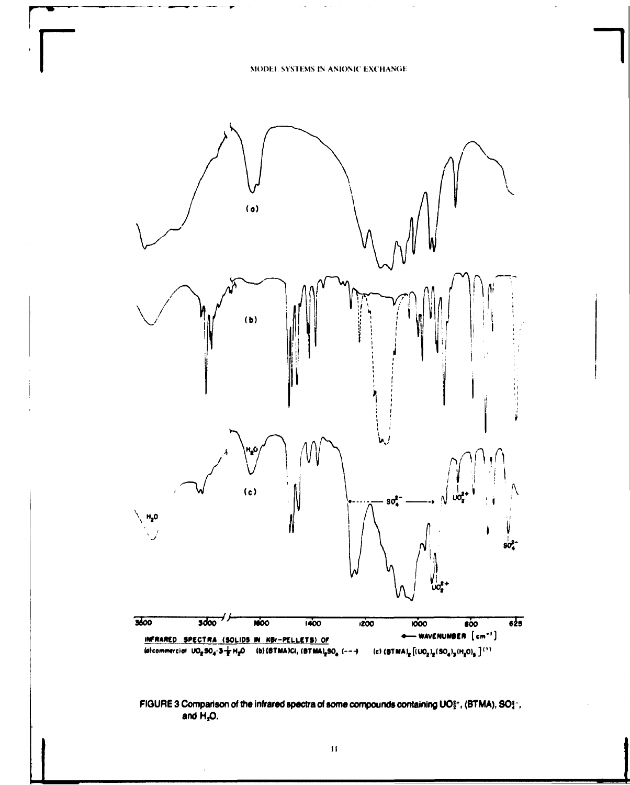MODEL SYSTEMS IN ANIONIC EXCHANGE



# FIGURE 3 Comparison of the infrared spectra of some compounds containing UO<sub>1</sub><sup>+</sup>, (BTMA), SO<sub>1</sub><sup>-</sup>, and  $H<sub>2</sub>O$ .

 $\overline{1}$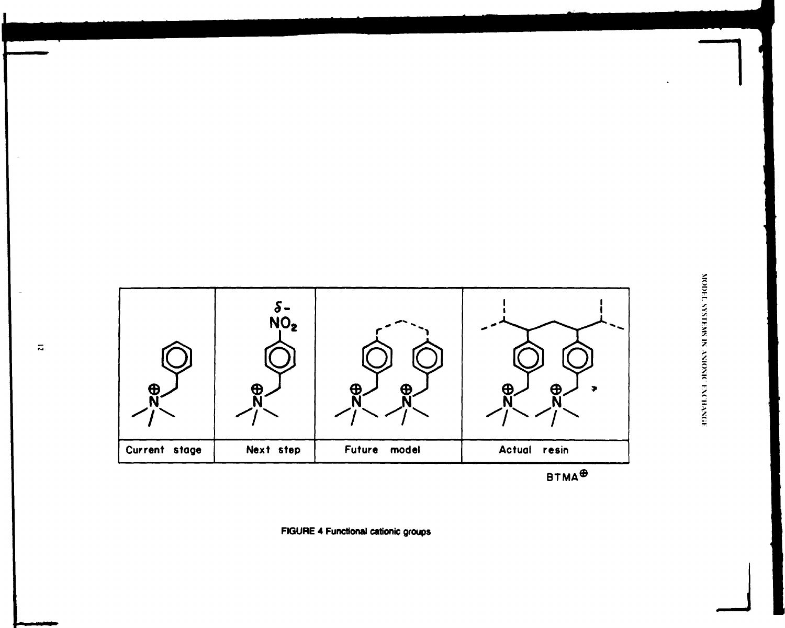

**FIGURE 4 Functional cationic groups** 

 $\overline{u}$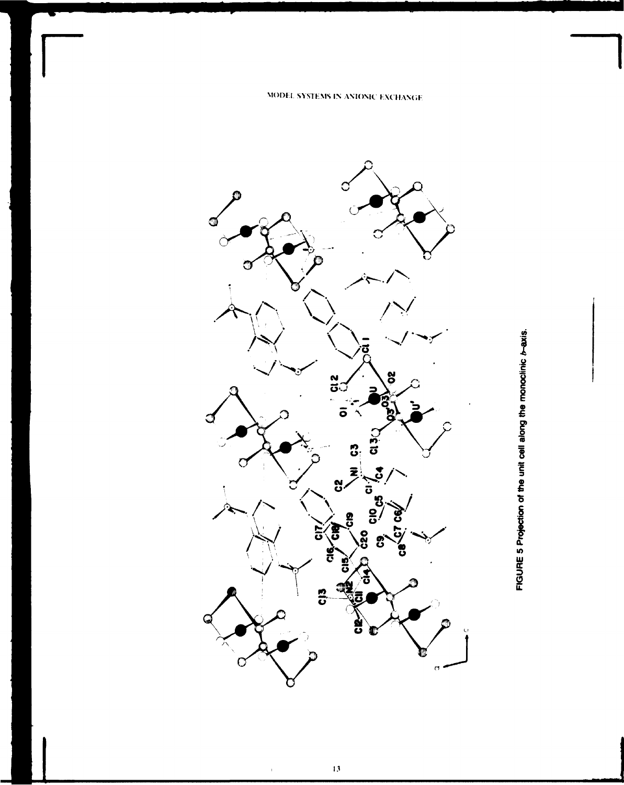# MODEL SYSTEMS IN ANIONIC EXCHANGE



FIGURE 5 Projection of the unit cell along the monoclinic b-axis.

 $\bar{1}$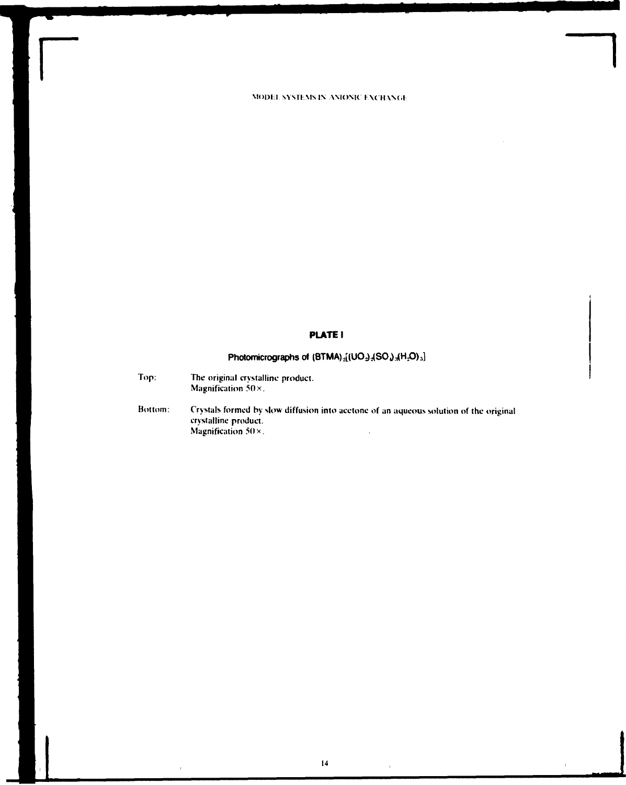## **MODEL SYSTEMS IN ANIONIC EXCHANGE**

# **PLATE I**

# **Photomicrographs of (BTMA)2[(UO.J.4S04).I(H;!Oh]**

**Top: The original crystalline product. Magnification 50 x.** 

 $\mathbf{1}$ 

**r** 

**Bottom: Crystals formed by slow diffusion into acetone of an aqueous solution of the original crystalline product. Magnification 50 x.**   $\ddot{\phantom{a}}$ 

 $\bar{1}$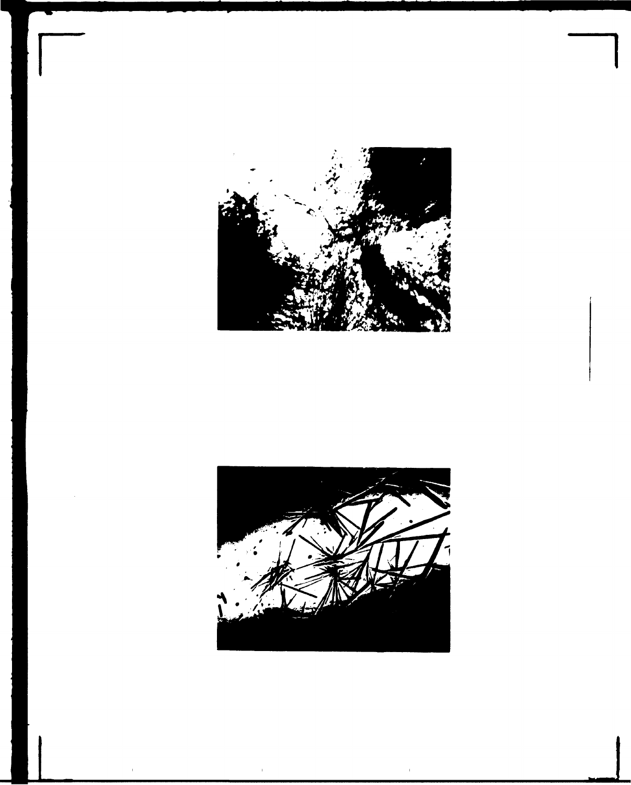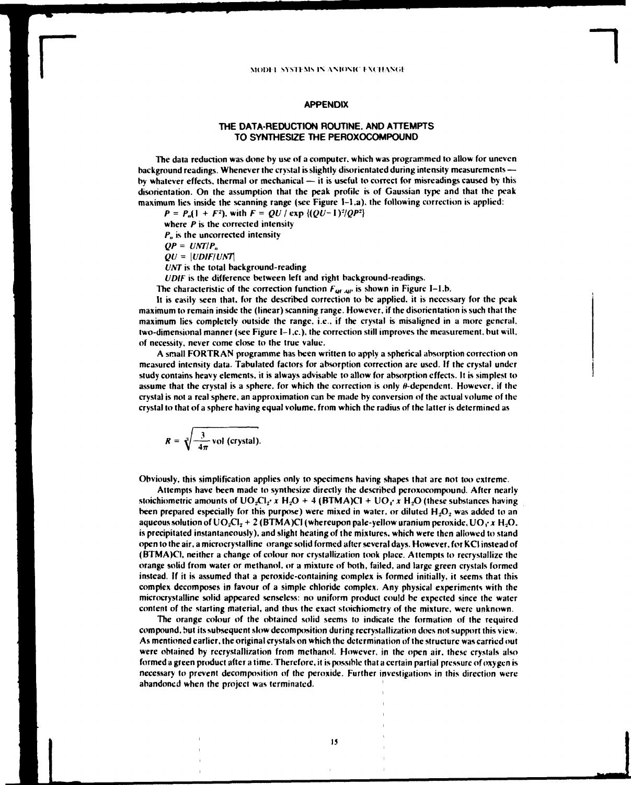#### **APPENDIX**

## **THE DATA-REDUCTION ROUTINE. AND ATTEMPTS TO SYNTHESIZE THE PEROXOCOMPOUND**

**The data reduction was done by use of a computer, which was programmed to allow for uneven background readings. Whenever the crystal is slightly disorientated during intensity measurements by whatever effects, thermal or mechanical — it is useful to correct for misreadings caused by this disorientation. On the assumption that the peak profile is of Gaussian type and that the peak maximum lies inside the scanning range (see Figure 1-1,a), the following correction is applied:** 

 $P = P_n(1 + F^2)$ , with  $F = QU / \exp \{(QU-1)^2 / QP^2\}$ 

**where** *P* **is the corrected intensity** 

*P<sub>u</sub>* is the uncorrected intensity

$$
QP = UNT/P_n
$$

 $QU = |UDIF/UNT|$ 

*UNT* **is the total background-reading** 

*UDIF* **is the difference between left and right background-readings.** 

The characteristic of the correction function  $F_{\alpha\beta\gamma}$  is shown in Figure I–1.b.

**It is easily seen that, for the described correction to be applied, it is necessary for the peak maximum to remain inside the (linear) scanning range. However, if the disorientation is such that the maximum lies completely outside the range, i.e., if the crystal is misaligned in a more general, two-dimensional manner (see Figure 1-1 ,c). the correction still improves the measurement, but will, of necessity, never come close to the true value.** 

**A small FORTRAN programme has been written to apply a spherical absorption correction on measured intensity data. Tabulated factors for absorption correction are used. If the crystal under study contains heavy elements, it is always advisable to allow for absorption effects. It is simplest to**  assume that the crystal is a sphere, for which the correction is only  $\theta$ -dependent. However, if the **crystal is not a real sphere, an approximation can be made by conversion of the actual volume of the crystal to that of a sphere having equal volume, from which the radius of the latter is determined as** 

$$
R = \sqrt[3]{\frac{3}{4\pi} \text{ vol (crystal)}}.
$$

**Obviously, this simplification applies only to specimens having shapes that are not too extreme.** 

**Attempts have been made to synthesize directly the described peroxocompound. After nearly**  stoichiometric amounts of  $UO_2Cl_2$ <sup>*-*</sup> *x*  $H_2O + 4$  (BTMA)Cl +  $UO_4$ <sup>*-*</sup> *x*  $H_2O$  (these substances having **been prepared especially for this purpose) were mixed in water, or diluted H<sup>2</sup> 0 <sup>2</sup> was added to an**  aqueous solution of  $\text{UO}_2\text{Cl}_2$  + 2 (BTMA)CI (whereupon pale-yellow uranium peroxide,  $\text{UO}_3\cdot x$  H<sub>2</sub>O, **is precipitated instantaneously), and slight heating of the mixtures, which were then allowed to stand open to the air, a microcrystalline orange solid formed after several days. However, for KCI instead of (BTMA)CI, neither a change of colour nor crystallization took place. Attempts to recrystallize the orange solid from water or methanol, or a mixture of both, failed, and large green crystals formed instead. If it is assumed that a peroxide-containing complex is formed initially, it seems that this complex decomposes in favour of a simple chloride complex. Any physical experiments with the microcrystallinc solid appeared senseless: no uniform product could be expected since the water content of the starting material, and thus the exact stoichiometry of the mixture, were unknown.** 

**The orange colour of the obtained solid seems to indicate the formation of the required compound, but its subsequent slow decomposition during recrystallization does not support this view. As mentioned earlier, the original crystals on which the determination of the structure was carried out were obtained by rccrystallization from methanol. However, in the open air, these crystals also formed a green product after a time. Therefore, it is possible that a certain partial pressure of oxygen is necessary to prevent decomposition of the peroxide. Further investigations in this direction were abandoned when the project was terminated.**